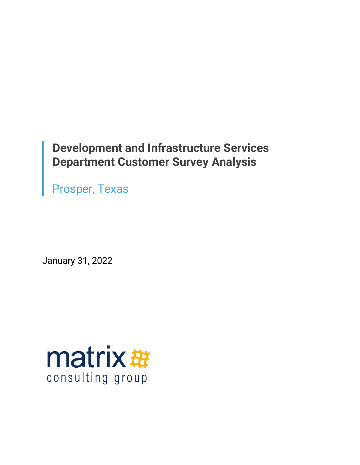# **Development and Infrastructure Services Department Customer Survey Analysis**

Prosper, Texas

January 31, 2022

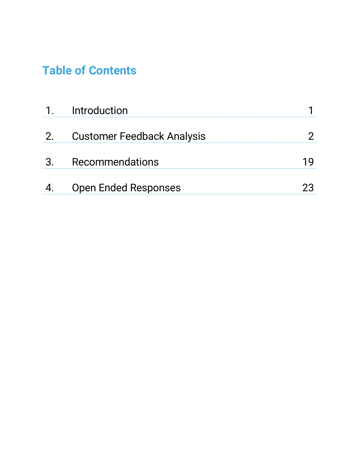# **Table of Contents**

| Introduction                      |  |
|-----------------------------------|--|
| <b>Customer Feedback Analysis</b> |  |
| Recommendations                   |  |
| <b>Open Ended Responses</b>       |  |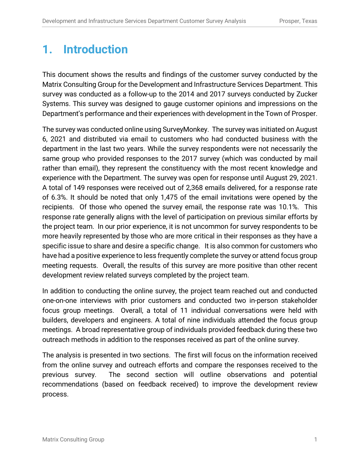# **1. Introduction**

This document shows the results and findings of the customer survey conducted by the Matrix Consulting Group for the Development and Infrastructure Services Department. This survey was conducted as a follow-up to the 2014 and 2017 surveys conducted by Zucker Systems. This survey was designed to gauge customer opinions and impressions on the Department's performance and their experiences with development in the Town of Prosper.

The survey was conducted online using SurveyMonkey. The survey was initiated on August 6, 2021 and distributed via email to customers who had conducted business with the department in the last two years. While the survey respondents were not necessarily the same group who provided responses to the 2017 survey (which was conducted by mail rather than email), they represent the constituency with the most recent knowledge and experience with the Department. The survey was open for response until August 29, 2021. A total of 149 responses were received out of 2,368 emails delivered, for a response rate of 6.3%. It should be noted that only 1,475 of the email invitations were opened by the recipients. Of those who opened the survey email, the response rate was 10.1%. This response rate generally aligns with the level of participation on previous similar efforts by the project team. In our prior experience, it is not uncommon for survey respondents to be more heavily represented by those who are more critical in their responses as they have a specific issue to share and desire a specific change. It is also common for customers who have had a positive experience to less frequently complete the survey or attend focus group meeting requests. Overall, the results of this survey are more positive than other recent development review related surveys completed by the project team.

In addition to conducting the online survey, the project team reached out and conducted one-on-one interviews with prior customers and conducted two in-person stakeholder focus group meetings. Overall, a total of 11 individual conversations were held with builders, developers and engineers. A total of nine individuals attended the focus group meetings. A broad representative group of individuals provided feedback during these two outreach methods in addition to the responses received as part of the online survey.

The analysis is presented in two sections. The first will focus on the information received from the online survey and outreach efforts and compare the responses received to the previous survey. The second section will outline observations and potential recommendations (based on feedback received) to improve the development review process.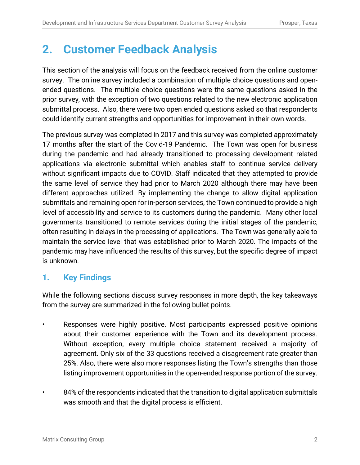# **2. Customer Feedback Analysis**

This section of the analysis will focus on the feedback received from the online customer survey. The online survey included a combination of multiple choice questions and openended questions. The multiple choice questions were the same questions asked in the prior survey, with the exception of two questions related to the new electronic application submittal process. Also, there were two open ended questions asked so that respondents could identify current strengths and opportunities for improvement in their own words.

The previous survey was completed in 2017 and this survey was completed approximately 17 months after the start of the Covid-19 Pandemic. The Town was open for business during the pandemic and had already transitioned to processing development related applications via electronic submittal which enables staff to continue service delivery without significant impacts due to COVID. Staff indicated that they attempted to provide the same level of service they had prior to March 2020 although there may have been different approaches utilized. By implementing the change to allow digital application submittals and remaining open for in-person services, the Town continued to provide a high level of accessibility and service to its customers during the pandemic. Many other local governments transitioned to remote services during the initial stages of the pandemic, often resulting in delays in the processing of applications. The Town was generally able to maintain the service level that was established prior to March 2020. The impacts of the pandemic may have influenced the results of this survey, but the specific degree of impact is unknown.

# **1. Key Findings**

While the following sections discuss survey responses in more depth, the key takeaways from the survey are summarized in the following bullet points.

- Responses were highly positive. Most participants expressed positive opinions about their customer experience with the Town and its development process. Without exception, every multiple choice statement received a majority of agreement. Only six of the 33 questions received a disagreement rate greater than 25%. Also, there were also more responses listing the Town's strengths than those listing improvement opportunities in the open-ended response portion of the survey.
	- 84% of the respondents indicated that the transition to digital application submittals was smooth and that the digital process is efficient.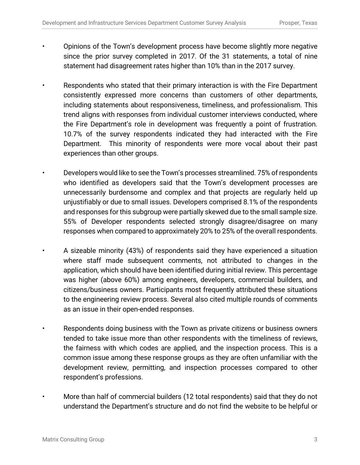- Opinions of the Town's development process have become slightly more negative since the prior survey completed in 2017. Of the 31 statements, a total of nine statement had disagreement rates higher than 10% than in the 2017 survey.
	- Respondents who stated that their primary interaction is with the Fire Department consistently expressed more concerns than customers of other departments, including statements about responsiveness, timeliness, and professionalism. This trend aligns with responses from individual customer interviews conducted, where the Fire Department's role in development was frequently a point of frustration. 10.7% of the survey respondents indicated they had interacted with the Fire Department. This minority of respondents were more vocal about their past experiences than other groups.
		- Developers would like to see the Town's processes streamlined. 75% of respondents who identified as developers said that the Town's development processes are unnecessarily burdensome and complex and that projects are regularly held up unjustifiably or due to small issues. Developers comprised 8.1% of the respondents and responses for this subgroup were partially skewed due to the small sample size. 55% of Developer respondents selected strongly disagree/disagree on many responses when compared to approximately 20% to 25% of the overall respondents.
			- A sizeable minority (43%) of respondents said they have experienced a situation where staff made subsequent comments, not attributed to changes in the application, which should have been identified during initial review. This percentage was higher (above 60%) among engineers, developers, commercial builders, and citizens/business owners. Participants most frequently attributed these situations to the engineering review process. Several also cited multiple rounds of comments as an issue in their open-ended responses.
			- Respondents doing business with the Town as private citizens or business owners tended to take issue more than other respondents with the timeliness of reviews, the fairness with which codes are applied, and the inspection process. This is a common issue among these response groups as they are often unfamiliar with the development review, permitting, and inspection processes compared to other respondent's professions.
			- More than half of commercial builders (12 total respondents) said that they do not understand the Department's structure and do not find the website to be helpful or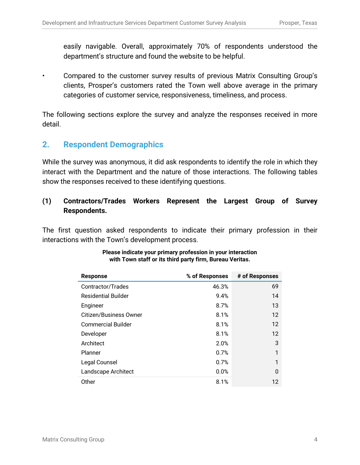easily navigable. Overall, approximately 70% of respondents understood the department's structure and found the website to be helpful.

• Compared to the customer survey results of previous Matrix Consulting Group's clients, Prosper's customers rated the Town well above average in the primary categories of customer service, responsiveness, timeliness, and process.

The following sections explore the survey and analyze the responses received in more detail.

# **2. Respondent Demographics**

While the survey was anonymous, it did ask respondents to identify the role in which they interact with the Department and the nature of those interactions. The following tables show the responses received to these identifying questions.

## **(1) Contractors/Trades Workers Represent the Largest Group of Survey Respondents.**

The first question asked respondents to indicate their primary profession in their interactions with the Town's development process.

| <b>Response</b>               | % of Responses | # of Responses    |
|-------------------------------|----------------|-------------------|
| Contractor/Trades             | 46.3%          | 69                |
| <b>Residential Builder</b>    | 9.4%           | 14                |
| Engineer                      | 8.7%           | 13                |
| <b>Citizen/Business Owner</b> | 8.1%           | $12 \overline{ }$ |
| <b>Commercial Builder</b>     | 8.1%           | $12 \overline{ }$ |
| Developer                     | 8.1%           | $12 \overline{ }$ |
| Architect                     | 2.0%           | 3                 |
| Planner                       | 0.7%           | 1                 |
| Legal Counsel                 | 0.7%           | 1                 |
| Landscape Architect           | 0.0%           | 0                 |
| Other                         | 8.1%           | $12 \overline{ }$ |

#### **Please indicate your primary profession in your interaction with Town staff or its third party firm, Bureau Veritas.**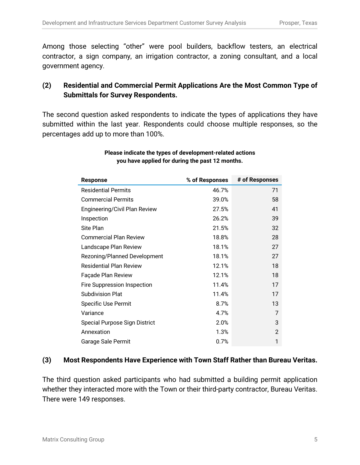Among those selecting "other" were pool builders, backflow testers, an electrical contractor, a sign company, an irrigation contractor, a zoning consultant, and a local government agency.

## **(2) Residential and Commercial Permit Applications Are the Most Common Type of Submittals for Survey Respondents.**

The second question asked respondents to indicate the types of applications they have submitted within the last year. Respondents could choose multiple responses, so the percentages add up to more than 100%.

| <b>Response</b>                | % of Responses | # of Responses |
|--------------------------------|----------------|----------------|
| <b>Residential Permits</b>     | 46.7%          | 71             |
| <b>Commercial Permits</b>      | 39.0%          | 58             |
| Engineering/Civil Plan Review  | 27.5%          | 41             |
| Inspection                     | 26.2%          | 39             |
| Site Plan                      | 21.5%          | 32             |
| <b>Commercial Plan Review</b>  | 18.8%          | 28             |
| Landscape Plan Review          | 18.1%          | 27             |
| Rezoning/Planned Development   | 18.1%          | 27             |
| <b>Residential Plan Review</b> | 12.1%          | 18             |
| Façade Plan Review             | 12.1%          | 18             |
| Fire Suppression Inspection    | 11.4%          | 17             |
| <b>Subdivision Plat</b>        | 11.4%          | 17             |
| <b>Specific Use Permit</b>     | 8.7%           | 13             |
| Variance                       | 4.7%           | 7              |
| Special Purpose Sign District  | 2.0%           | 3              |
| Annexation                     | 1.3%           | $\mathcal{P}$  |
| Garage Sale Permit             | 0.7%           | 1              |

### **Please indicate the types of development-related actions you have applied for during the past 12 months.**

### **(3) Most Respondents Have Experience with Town Staff Rather than Bureau Veritas.**

The third question asked participants who had submitted a building permit application whether they interacted more with the Town or their third-party contractor, Bureau Veritas. There were 149 responses.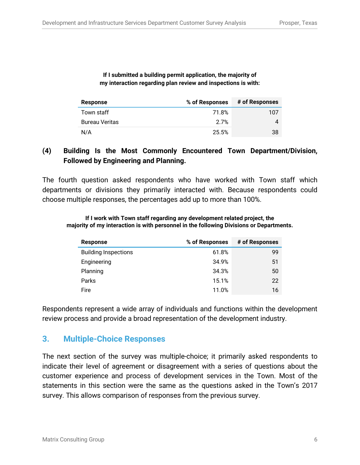#### **If I submitted a building permit application, the majority of my interaction regarding plan review and inspections is with:**

| Response              | % of Responses | # of Responses |
|-----------------------|----------------|----------------|
| Town staff            | 71.8%          | 107            |
| <b>Bureau Veritas</b> | 2.7%           |                |
| N/A                   | 25.5%          | 38             |

## **(4) Building Is the Most Commonly Encountered Town Department/Division, Followed by Engineering and Planning.**

The fourth question asked respondents who have worked with Town staff which departments or divisions they primarily interacted with. Because respondents could choose multiple responses, the percentages add up to more than 100%.

**If I work with Town staff regarding any development related project, the majority of my interaction is with personnel in the following Divisions or Departments.**

| Response                    | % of Responses | # of Responses |
|-----------------------------|----------------|----------------|
| <b>Building Inspections</b> | 61.8%          | 99             |
| Engineering                 | 34.9%          | 51             |
| Planning                    | 34.3%          | 50             |
| Parks                       | 15.1%          | 22             |
| Fire                        | 11.0%          | 16             |

Respondents represent a wide array of individuals and functions within the development review process and provide a broad representation of the development industry.

# **3. Multiple-Choice Responses**

The next section of the survey was multiple-choice; it primarily asked respondents to indicate their level of agreement or disagreement with a series of questions about the customer experience and process of development services in the Town. Most of the statements in this section were the same as the questions asked in the Town's 2017 survey. This allows comparison of responses from the previous survey.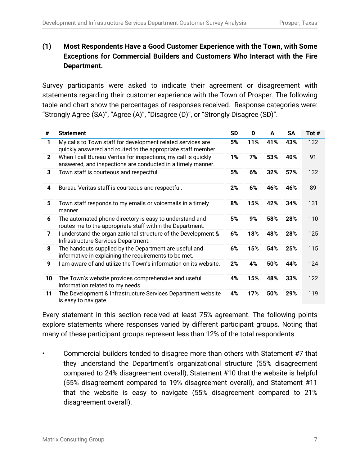# **(1) Most Respondents Have a Good Customer Experience with the Town, with Some Exceptions for Commercial Builders and Customers Who Interact with the Fire Department.**

Survey participants were asked to indicate their agreement or disagreement with statements regarding their customer experience with the Town of Prosper. The following table and chart show the percentages of responses received. Response categories were: "Strongly Agree (SA)", "Agree (A)", "Disagree (D)", or "Strongly Disagree (SD)".

| #            | <b>Statement</b>                                                                                                              | SD | D   | A   | SA  | Tot # |
|--------------|-------------------------------------------------------------------------------------------------------------------------------|----|-----|-----|-----|-------|
| 1            | My calls to Town staff for development related services are<br>quickly answered and routed to the appropriate staff member.   | 5% | 11% | 41% | 43% | 132   |
| $\mathbf{2}$ | When I call Bureau Veritas for inspections, my call is quickly<br>answered, and inspections are conducted in a timely manner. | 1% | 7%  | 53% | 40% | 91    |
| 3            | Town staff is courteous and respectful.                                                                                       | 5% | 6%  | 32% | 57% | 132   |
| 4            | Bureau Veritas staff is courteous and respectful.                                                                             | 2% | 6%  | 46% | 46% | 89    |
| 5            | Town staff responds to my emails or voicemails in a timely<br>manner.                                                         | 8% | 15% | 42% | 34% | 131   |
| 6            | The automated phone directory is easy to understand and<br>routes me to the appropriate staff within the Department.          | 5% | 9%  | 58% | 28% | 110   |
| 7            | I understand the organizational structure of the Development &<br>Infrastructure Services Department.                         | 6% | 18% | 48% | 28% | 125   |
| 8            | The handouts supplied by the Department are useful and<br>informative in explaining the requirements to be met.               | 6% | 15% | 54% | 25% | 115   |
| 9            | I am aware of and utilize the Town's information on its website.                                                              | 2% | 4%  | 50% | 44% | 124   |
| 10           | The Town's website provides comprehensive and useful<br>information related to my needs.                                      | 4% | 15% | 48% | 33% | 122   |
| 11           | The Development & Infrastructure Services Department website<br>is easy to navigate.                                          | 4% | 17% | 50% | 29% | 119   |

Every statement in this section received at least 75% agreement. The following points explore statements where responses varied by different participant groups. Noting that many of these participant groups represent less than 12% of the total respondents.

• Commercial builders tended to disagree more than others with Statement #7 that they understand the Department's organizational structure (55% disagreement compared to 24% disagreement overall), Statement #10 that the website is helpful (55% disagreement compared to 19% disagreement overall), and Statement #11 that the website is easy to navigate (55% disagreement compared to 21% disagreement overall).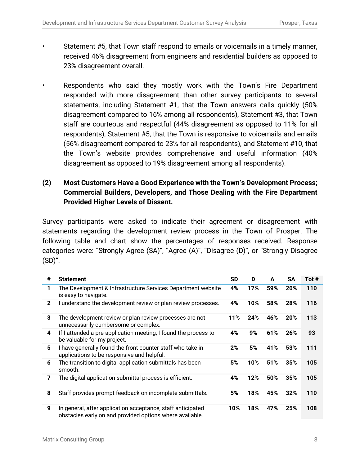- Statement #5, that Town staff respond to emails or voicemails in a timely manner, received 46% disagreement from engineers and residential builders as opposed to 23% disagreement overall.
- Respondents who said they mostly work with the Town's Fire Department responded with more disagreement than other survey participants to several statements, including Statement #1, that the Town answers calls quickly (50% disagreement compared to 16% among all respondents), Statement #3, that Town staff are courteous and respectful (44% disagreement as opposed to 11% for all respondents), Statement #5, that the Town is responsive to voicemails and emails (56% disagreement compared to 23% for all respondents), and Statement #10, that the Town's website provides comprehensive and useful information (40% disagreement as opposed to 19% disagreement among all respondents).

## **(2) Most Customers Have a Good Experience with the Town's Development Process; Commercial Builders, Developers, and Those Dealing with the Fire Department Provided Higher Levels of Dissent.**

Survey participants were asked to indicate their agreement or disagreement with statements regarding the development review process in the Town of Prosper. The following table and chart show the percentages of responses received. Response categories were: "Strongly Agree (SA)", "Agree (A)", "Disagree (D)", or "Strongly Disagree  $(SD)$ ".

| #            | <b>Statement</b>                                                                                                        | <b>SD</b> | D   | A   | SA  | Tot # |
|--------------|-------------------------------------------------------------------------------------------------------------------------|-----------|-----|-----|-----|-------|
| 1            | The Development & Infrastructure Services Department website<br>is easy to navigate.                                    | 4%        | 17% | 59% | 20% | 110   |
| $\mathbf{2}$ | I understand the development review or plan review processes.                                                           | 4%        | 10% | 58% | 28% | 116   |
| 3            | The development review or plan review processes are not<br>unnecessarily cumbersome or complex.                         | 11%       | 24% | 46% | 20% | 113   |
| 4            | If I attended a pre-application meeting, I found the process to<br>be valuable for my project.                          | 4%        | 9%  | 61% | 26% | 93    |
| 5            | I have generally found the front counter staff who take in<br>applications to be responsive and helpful.                | 2%        | 5%  | 41% | 53% | 111   |
| 6            | The transition to digital application submittals has been<br>smooth.                                                    | 5%        | 10% | 51% | 35% | 105   |
| 7            | The digital application submittal process is efficient.                                                                 | 4%        | 12% | 50% | 35% | 105   |
| 8            | Staff provides prompt feedback on incomplete submittals.                                                                | 5%        | 18% | 45% | 32% | 110   |
| 9            | In general, after application acceptance, staff anticipated<br>obstacles early on and provided options where available. | 10%       | 18% | 47% | 25% | 108   |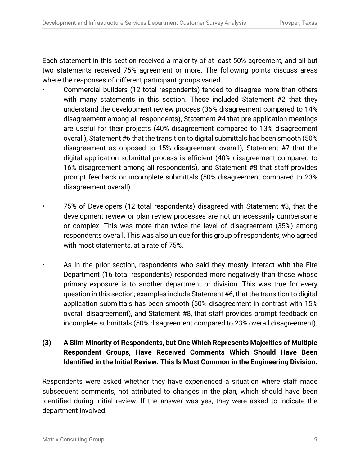Each statement in this section received a majority of at least 50% agreement, and all but two statements received 75% agreement or more. The following points discuss areas where the responses of different participant groups varied.

- Commercial builders (12 total respondents) tended to disagree more than others with many statements in this section. These included Statement #2 that they understand the development review process (36% disagreement compared to 14% disagreement among all respondents), Statement #4 that pre-application meetings are useful for their projects (40% disagreement compared to 13% disagreement overall), Statement #6 that the transition to digital submittals has been smooth (50% disagreement as opposed to 15% disagreement overall), Statement #7 that the digital application submittal process is efficient (40% disagreement compared to 16% disagreement among all respondents), and Statement #8 that staff provides prompt feedback on incomplete submittals (50% disagreement compared to 23% disagreement overall).
- 75% of Developers (12 total respondents) disagreed with Statement #3, that the development review or plan review processes are not unnecessarily cumbersome or complex. This was more than twice the level of disagreement (35%) among respondents overall. This was also unique for this group of respondents, who agreed with most statements, at a rate of 75%.
- As in the prior section, respondents who said they mostly interact with the Fire Department (16 total respondents) responded more negatively than those whose primary exposure is to another department or division. This was true for every question in this section; examples include Statement #6, that the transition to digital application submittals has been smooth (50% disagreement in contrast with 15% overall disagreement), and Statement #8, that staff provides prompt feedback on incomplete submittals (50% disagreement compared to 23% overall disagreement).
- **(3) A Slim Minority of Respondents, but One Which Represents Majorities of Multiple Respondent Groups, Have Received Comments Which Should Have Been Identified in the Initial Review. This Is Most Common in the Engineering Division.**

Respondents were asked whether they have experienced a situation where staff made subsequent comments, not attributed to changes in the plan, which should have been identified during initial review. If the answer was yes, they were asked to indicate the department involved.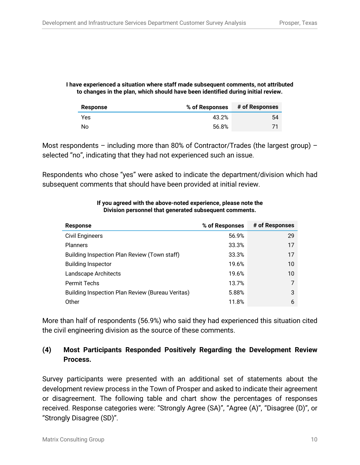#### **I have experienced a situation where staff made subsequent comments, not attributed to changes in the plan, which should have been identified during initial review.**

| Response  | % of Responses | # of Responses |
|-----------|----------------|----------------|
| Yes       | 43.2%          | 54             |
| <b>No</b> | 56.8%          |                |

Most respondents – including more than 80% of Contractor/Trades (the largest group) – selected "no", indicating that they had not experienced such an issue.

Respondents who chose "yes" were asked to indicate the department/division which had subsequent comments that should have been provided at initial review.

| <b>Response</b>                                  | % of Responses | # of Responses |
|--------------------------------------------------|----------------|----------------|
| <b>Civil Engineers</b>                           | 56.9%          | 29             |
| <b>Planners</b>                                  | 33.3%          | 17             |
| Building Inspection Plan Review (Town staff)     | 33.3%          | 17             |
| <b>Building Inspector</b>                        | 19.6%          | 10             |
| Landscape Architects                             | 19.6%          | 10             |
| <b>Permit Techs</b>                              | 13.7%          |                |
| Building Inspection Plan Review (Bureau Veritas) | 5.88%          | 3              |
| Other                                            | 11.8%          | 6              |

#### **If you agreed with the above-noted experience, please note the Division personnel that generated subsequent comments.**

More than half of respondents (56.9%) who said they had experienced this situation cited the civil engineering division as the source of these comments.

# **(4) Most Participants Responded Positively Regarding the Development Review Process.**

Survey participants were presented with an additional set of statements about the development review process in the Town of Prosper and asked to indicate their agreement or disagreement. The following table and chart show the percentages of responses received. Response categories were: "Strongly Agree (SA)", "Agree (A)", "Disagree (D)", or "Strongly Disagree (SD)".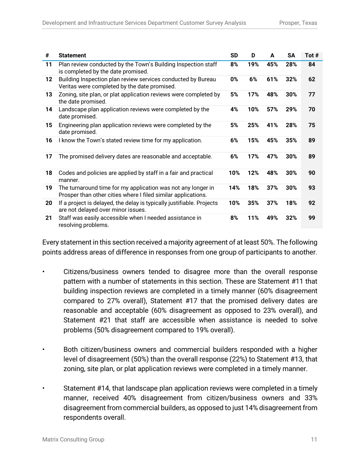| #  | <b>Statement</b>                                                                                                              | <b>SD</b> | D   | A   | <b>SA</b> | Tot # |
|----|-------------------------------------------------------------------------------------------------------------------------------|-----------|-----|-----|-----------|-------|
| 11 | Plan review conducted by the Town's Building Inspection staff<br>is completed by the date promised.                           | 8%        | 19% | 45% | 28%       | 84    |
| 12 | Building Inspection plan review services conducted by Bureau<br>Veritas were completed by the date promised.                  | 0%        | 6%  | 61% | 32%       | 62    |
| 13 | Zoning, site plan, or plat application reviews were completed by<br>the date promised.                                        | 5%        | 17% | 48% | 30%       | 77    |
| 14 | Landscape plan application reviews were completed by the<br>date promised.                                                    | 4%        | 10% | 57% | 29%       | 70    |
| 15 | Engineering plan application reviews were completed by the<br>date promised.                                                  | 5%        | 25% | 41% | 28%       | 75    |
| 16 | I know the Town's stated review time for my application.                                                                      | 6%        | 15% | 45% | 35%       | 89    |
| 17 | The promised delivery dates are reasonable and acceptable.                                                                    | 6%        | 17% | 47% | 30%       | 89    |
| 18 | Codes and policies are applied by staff in a fair and practical<br>manner.                                                    | 10%       | 12% | 48% | 30%       | 90    |
| 19 | The turnaround time for my application was not any longer in<br>Prosper than other cities where I filed similar applications. | 14%       | 18% | 37% | 30%       | 93    |
| 20 | If a project is delayed, the delay is typically justifiable. Projects<br>are not delayed over minor issues.                   | 10%       | 35% | 37% | 18%       | 92    |
| 21 | Staff was easily accessible when I needed assistance in<br>resolving problems.                                                | 8%        | 11% | 49% | 32%       | 99    |

Every statement in this section received a majority agreement of at least 50%. The following points address areas of difference in responses from one group of participants to another.

- Citizens/business owners tended to disagree more than the overall response pattern with a number of statements in this section. These are Statement #11 that building inspection reviews are completed in a timely manner (60% disagreement compared to 27% overall), Statement #17 that the promised delivery dates are reasonable and acceptable (60% disagreement as opposed to 23% overall), and Statement #21 that staff are accessible when assistance is needed to solve problems (50% disagreement compared to 19% overall).
- Both citizen/business owners and commercial builders responded with a higher level of disagreement (50%) than the overall response (22%) to Statement #13, that zoning, site plan, or plat application reviews were completed in a timely manner.
- Statement #14, that landscape plan application reviews were completed in a timely manner, received 40% disagreement from citizen/business owners and 33% disagreement from commercial builders, as opposed to just 14% disagreement from respondents overall.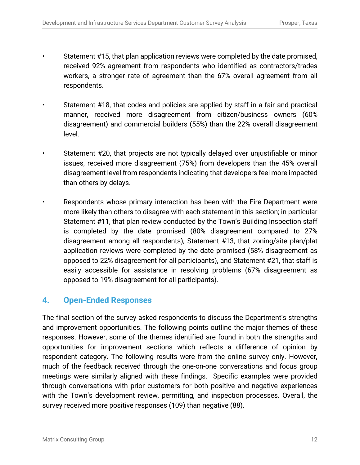- Statement #15, that plan application reviews were completed by the date promised, received 92% agreement from respondents who identified as contractors/trades workers, a stronger rate of agreement than the 67% overall agreement from all respondents.
- Statement #18, that codes and policies are applied by staff in a fair and practical manner, received more disagreement from citizen/business owners (60% disagreement) and commercial builders (55%) than the 22% overall disagreement level.
- Statement #20, that projects are not typically delayed over unjustifiable or minor issues, received more disagreement (75%) from developers than the 45% overall disagreement level from respondents indicating that developers feel more impacted than others by delays.
- Respondents whose primary interaction has been with the Fire Department were more likely than others to disagree with each statement in this section; in particular Statement #11, that plan review conducted by the Town's Building Inspection staff is completed by the date promised (80% disagreement compared to 27% disagreement among all respondents), Statement #13, that zoning/site plan/plat application reviews were completed by the date promised (58% disagreement as opposed to 22% disagreement for all participants), and Statement #21, that staff is easily accessible for assistance in resolving problems (67% disagreement as opposed to 19% disagreement for all participants).

# **4. Open-Ended Responses**

The final section of the survey asked respondents to discuss the Department's strengths and improvement opportunities. The following points outline the major themes of these responses. However, some of the themes identified are found in both the strengths and opportunities for improvement sections which reflects a difference of opinion by respondent category. The following results were from the online survey only. However, much of the feedback received through the one-on-one conversations and focus group meetings were similarly aligned with these findings. Specific examples were provided through conversations with prior customers for both positive and negative experiences with the Town's development review, permitting, and inspection processes. Overall, the survey received more positive responses (109) than negative (88).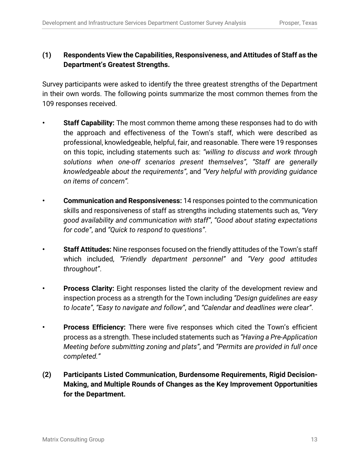## **(1) Respondents View the Capabilities, Responsiveness, and Attitudes of Staff as the Department's Greatest Strengths.**

Survey participants were asked to identify the three greatest strengths of the Department in their own words. The following points summarize the most common themes from the 109 responses received.

- **• Staff Capability:** The most common theme among these responses had to do with the approach and effectiveness of the Town's staff, which were described as professional, knowledgeable, helpful, fair, and reasonable. There were 19 responses on this topic, including statements such as: *"willing to discuss and work through solutions when one-off scenarios present themselves"*, *"Staff are generally knowledgeable about the requirements"*, and *"Very helpful with providing guidance on items of concern".*
- **• Communication and Responsiveness:** 14 responses pointed to the communication skills and responsiveness of staff as strengths including statements such as, *"Very good availability and communication with staff"*, *"Good about stating expectations for code"*, and *"Quick to respond to questions"*.
- **• Staff Attitudes:** Nine responses focused on the friendly attitudes of the Town's staff which included, *"Friendly department personnel"* and *"Very good attitudes throughout"*.
- **• Process Clarity:** Eight responses listed the clarity of the development review and inspection process as a strength for the Town including *"Design guidelines are easy to locate"*, *"Easy to navigate and follow"*, and *"Calendar and deadlines were clear"*.
- **• Process Efficiency:** There were five responses which cited the Town's efficient process as a strength. These included statements such as *"Having a Pre-Application Meeting before submitting zoning and plats"*, and *"Permits are provided in full once completed."*
- **(2) Participants Listed Communication, Burdensome Requirements, Rigid Decision-Making, and Multiple Rounds of Changes as the Key Improvement Opportunities for the Department.**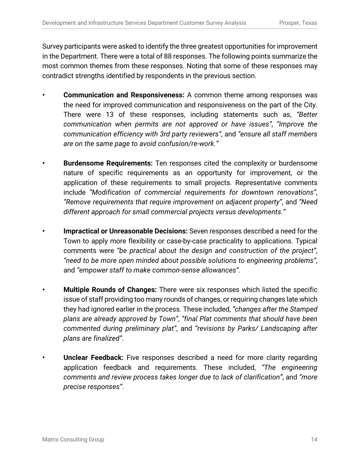Survey participants were asked to identify the three greatest opportunities for improvement in the Department. There were a total of 88 responses. The following points summarize the most common themes from these responses. Noting that some of these responses may contradict strengths identified by respondents in the previous section.

- **• Communication and Responsiveness:** A common theme among responses was the need for improved communication and responsiveness on the part of the City. There were 13 of these responses, including statements such as, *"Better communication when permits are not approved or have issues"*, *"Improve the communication efficiency with 3rd party reviewers"*, and *"ensure all staff members are on the same page to avoid confusion/re-work."*
- **• Burdensome Requirements:** Ten responses cited the complexity or burdensome nature of specific requirements as an opportunity for improvement, or the application of these requirements to small projects. Representative comments include *"Modification of commercial requirements for downtown renovations"*, *"Remove requirements that require improvement on adjacent property"*, and *"Need different approach for small commercial projects versus developments."*
- **• Impractical or Unreasonable Decisions:** Seven responses described a need for the Town to apply more flexibility or case-by-case practicality to applications. Typical comments were *"be practical about the design and construction of the project"*, *"need to be more open minded about possible solutions to engineering problems"*, and *"empower staff to make common-sense allowances"*.
- **• Multiple Rounds of Changes:** There were six responses which listed the specific issue of staff providing too many rounds of changes, or requiring changes late which they had ignored earlier in the process. These included, *"changes after the Stamped plans are already approved by Town"*, *"final Plat comments that should have been commented during preliminary plat"*, and *"revisions by Parks/ Landscaping after plans are finalized"*.
- **• Unclear Feedback:** Five responses described a need for more clarity regarding application feedback and requirements. These included, *"The engineering comments and review process takes longer due to lack of clarification"*, and *"more precise responses"*.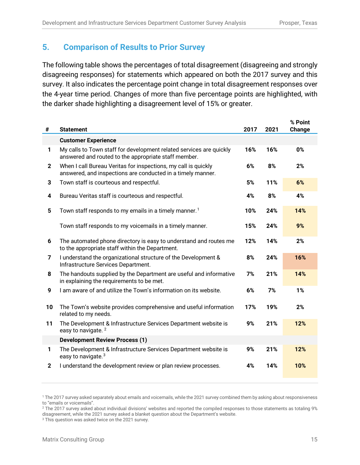# **5. Comparison of Results to Prior Survey**

The following table shows the percentages of total disagreement (disagreeing and strongly disagreeing responses) for statements which appeared on both the 2017 survey and this survey. It also indicates the percentage point change in total disagreement responses over the 4-year time period. Changes of more than five percentage points are highlighted, with the darker shade highlighting a disagreement level of 15% or greater.

| #            | <b>Statement</b>                                                                                                              | 2017 | 2021 | % Point<br>Change |
|--------------|-------------------------------------------------------------------------------------------------------------------------------|------|------|-------------------|
|              | <b>Customer Experience</b>                                                                                                    |      |      |                   |
| 1            | My calls to Town staff for development related services are quickly<br>answered and routed to the appropriate staff member.   | 16%  | 16%  | 0%                |
| $\mathbf{2}$ | When I call Bureau Veritas for inspections, my call is quickly<br>answered, and inspections are conducted in a timely manner. | 6%   | 8%   | 2%                |
| 3            | Town staff is courteous and respectful.                                                                                       | 5%   | 11%  | 6%                |
| 4            | Bureau Veritas staff is courteous and respectful.                                                                             | 4%   | 8%   | 4%                |
| 5            | Town staff responds to my emails in a timely manner. <sup>1</sup>                                                             | 10%  | 24%  | 14%               |
|              | Town staff responds to my voicemails in a timely manner.                                                                      | 15%  | 24%  | 9%                |
| 6            | The automated phone directory is easy to understand and routes me<br>to the appropriate staff within the Department.          | 12%  | 14%  | 2%                |
| 7            | I understand the organizational structure of the Development &<br>Infrastructure Services Department.                         | 8%   | 24%  | 16%               |
| 8            | The handouts supplied by the Department are useful and informative<br>in explaining the requirements to be met.               | 7%   | 21%  | 14%               |
| 9            | I am aware of and utilize the Town's information on its website.                                                              | 6%   | 7%   | 1%                |
| 10           | The Town's website provides comprehensive and useful information<br>related to my needs.                                      | 17%  | 19%  | 2%                |
| 11           | The Development & Infrastructure Services Department website is<br>easy to navigate. <sup>2</sup>                             | 9%   | 21%  | 12%               |
|              | <b>Development Review Process (1)</b>                                                                                         |      |      |                   |
| 1            | The Development & Infrastructure Services Department website is<br>easy to navigate. <sup>3</sup>                             | 9%   | 21%  | 12%               |
| $\mathbf{2}$ | I understand the development review or plan review processes.                                                                 | 4%   | 14%  | 10%               |

<span id="page-16-0"></span><sup>1</sup> The 2017 survey asked separately about emails and voicemails, while the 2021 survey combined them by asking about responsiveness to "emails or voicemails".

<span id="page-16-1"></span><sup>&</sup>lt;sup>2</sup> The 2017 survey asked about individual divisions' websites and reported the compiled responses to those statements as totaling 9% disagreement, while the 2021 survey asked a blanket question about the Department's website.

<span id="page-16-2"></span><sup>&</sup>lt;sup>3</sup> This question was asked twice on the 2021 survey.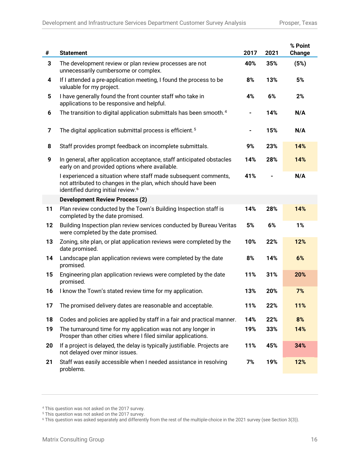| #                       | <b>Statement</b>                                                                                                                                                                   | 2017 | 2021 | % Point<br>Change |
|-------------------------|------------------------------------------------------------------------------------------------------------------------------------------------------------------------------------|------|------|-------------------|
| 3                       | The development review or plan review processes are not<br>unnecessarily cumbersome or complex.                                                                                    | 40%  | 35%  | (5%)              |
| 4                       | If I attended a pre-application meeting, I found the process to be<br>valuable for my project.                                                                                     | 8%   | 13%  | 5%                |
| 5                       | I have generally found the front counter staff who take in<br>applications to be responsive and helpful.                                                                           | 4%   | 6%   | 2%                |
| 6                       | The transition to digital application submittals has been smooth. <sup>4</sup>                                                                                                     |      | 14%  | N/A               |
| $\overline{\mathbf{z}}$ | The digital application submittal process is efficient. <sup>5</sup>                                                                                                               |      | 15%  | N/A               |
| 8                       | Staff provides prompt feedback on incomplete submittals.                                                                                                                           | 9%   | 23%  | 14%               |
| 9                       | In general, after application acceptance, staff anticipated obstacles<br>early on and provided options where available.                                                            | 14%  | 28%  | 14%               |
|                         | I experienced a situation where staff made subsequent comments,<br>not attributed to changes in the plan, which should have been<br>identified during initial review. <sup>6</sup> | 41%  |      | N/A               |
|                         | <b>Development Review Process (2)</b>                                                                                                                                              |      |      |                   |
| 11                      | Plan review conducted by the Town's Building Inspection staff is<br>completed by the date promised.                                                                                | 14%  | 28%  | 14%               |
| 12                      | Building Inspection plan review services conducted by Bureau Veritas<br>were completed by the date promised.                                                                       | 5%   | 6%   | 1%                |
| 13                      | Zoning, site plan, or plat application reviews were completed by the<br>date promised.                                                                                             | 10%  | 22%  | 12%               |
| 14                      | Landscape plan application reviews were completed by the date<br>promised.                                                                                                         | 8%   | 14%  | 6%                |
| 15                      | Engineering plan application reviews were completed by the date<br>promised.                                                                                                       | 11%  | 31%  | 20%               |
| 16                      | I know the Town's stated review time for my application.                                                                                                                           | 13%  | 20%  | 7%                |
| 17                      | The promised delivery dates are reasonable and acceptable.                                                                                                                         | 11%  | 22%  | 11%               |
| 18                      | Codes and policies are applied by staff in a fair and practical manner.                                                                                                            | 14%  | 22%  | 8%                |
| 19                      | The turnaround time for my application was not any longer in<br>Prosper than other cities where I filed similar applications.                                                      | 19%  | 33%  | 14%               |
| 20                      | If a project is delayed, the delay is typically justifiable. Projects are<br>not delayed over minor issues.                                                                        | 11%  | 45%  | 34%               |
| 21                      | Staff was easily accessible when I needed assistance in resolving<br>problems.                                                                                                     | 7%   | 19%  | 12%               |

<span id="page-17-1"></span><span id="page-17-0"></span><sup>4</sup> This question was not asked on the 2017 survey.

<sup>&</sup>lt;sup>5</sup> This question was not asked on the 2017 survey.

<span id="page-17-2"></span> $^6$  This question was asked separately and differently from the rest of the multiple-choice in the 2021 survey (see Section 3(3)).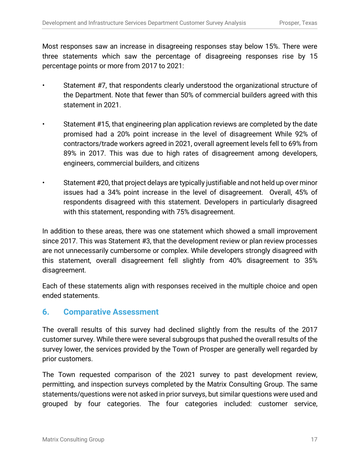Most responses saw an increase in disagreeing responses stay below 15%. There were three statements which saw the percentage of disagreeing responses rise by 15 percentage points or more from 2017 to 2021:

- Statement #7, that respondents clearly understood the organizational structure of the Department. Note that fewer than 50% of commercial builders agreed with this statement in 2021.
- Statement #15, that engineering plan application reviews are completed by the date promised had a 20% point increase in the level of disagreement While 92% of contractors/trade workers agreed in 2021, overall agreement levels fell to 69% from 89% in 2017. This was due to high rates of disagreement among developers, engineers, commercial builders, and citizens
- Statement #20, that project delays are typically justifiable and not held up over minor issues had a 34% point increase in the level of disagreement. Overall, 45% of respondents disagreed with this statement. Developers in particularly disagreed with this statement, responding with 75% disagreement.

In addition to these areas, there was one statement which showed a small improvement since 2017. This was Statement #3, that the development review or plan review processes are not unnecessarily cumbersome or complex. While developers strongly disagreed with this statement, overall disagreement fell slightly from 40% disagreement to 35% disagreement.

Each of these statements align with responses received in the multiple choice and open ended statements.

## **6. Comparative Assessment**

The overall results of this survey had declined slightly from the results of the 2017 customer survey. While there were several subgroups that pushed the overall results of the survey lower, the services provided by the Town of Prosper are generally well regarded by prior customers.

The Town requested comparison of the 2021 survey to past development review, permitting, and inspection surveys completed by the Matrix Consulting Group. The same statements/questions were not asked in prior surveys, but similar questions were used and grouped by four categories. The four categories included: customer service,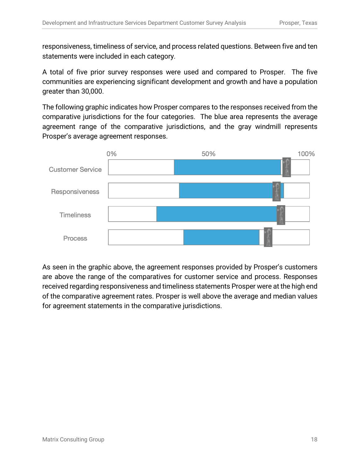responsiveness, timeliness of service, and process related questions. Between five and ten statements were included in each category.

A total of five prior survey responses were used and compared to Prosper. The five communities are experiencing significant development and growth and have a population greater than 30,000.

The following graphic indicates how Prosper compares to the responses received from the comparative jurisdictions for the four categories. The blue area represents the average agreement range of the comparative jurisdictions, and the gray windmill represents Prosper's average agreement responses.



As seen in the graphic above, the agreement responses provided by Prosper's customers are above the range of the comparatives for customer service and process. Responses received regarding responsiveness and timeliness statements Prosper were at the high end of the comparative agreement rates. Prosper is well above the average and median values for agreement statements in the comparative jurisdictions.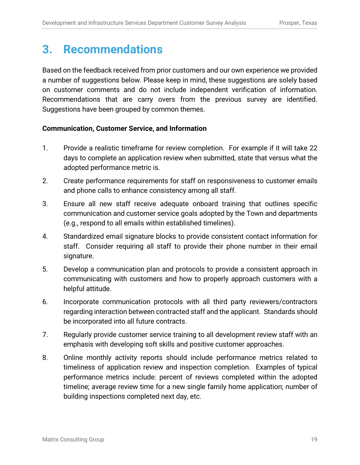# **3. Recommendations**

Based on the feedback received from prior customers and our own experience we provided a number of suggestions below. Please keep in mind, these suggestions are solely based on customer comments and do not include independent verification of information. Recommendations that are carry overs from the previous survey are identified. Suggestions have been grouped by common themes.

### **Communication, Customer Service, and Information**

- 1. Provide a realistic timeframe for review completion. For example if it will take 22 days to complete an application review when submitted, state that versus what the adopted performance metric is.
- 2. Create performance requirements for staff on responsiveness to customer emails and phone calls to enhance consistency among all staff.
- 3. Ensure all new staff receive adequate onboard training that outlines specific communication and customer service goals adopted by the Town and departments (e.g., respond to all emails within established timelines).
- 4. Standardized email signature blocks to provide consistent contact information for staff. Consider requiring all staff to provide their phone number in their email signature.
- 5. Develop a communication plan and protocols to provide a consistent approach in communicating with customers and how to properly approach customers with a helpful attitude.
- 6. Incorporate communication protocols with all third party reviewers/contractors regarding interaction between contracted staff and the applicant. Standards should be incorporated into all future contracts.
- 7. Regularly provide customer service training to all development review staff with an emphasis with developing soft skills and positive customer approaches.
- 8. Online monthly activity reports should include performance metrics related to timeliness of application review and inspection completion. Examples of typical performance metrics include: percent of reviews completed within the adopted timeline; average review time for a new single family home application; number of building inspections completed next day, etc.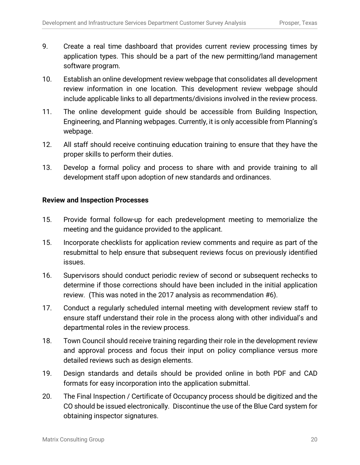- 9. Create a real time dashboard that provides current review processing times by application types. This should be a part of the new permitting/land management software program.
- 10. Establish an online development review webpage that consolidates all development review information in one location. This development review webpage should include applicable links to all departments/divisions involved in the review process.
- 11. The online development guide should be accessible from Building Inspection, Engineering, and Planning webpages. Currently, it is only accessible from Planning's webpage.
- 12. All staff should receive continuing education training to ensure that they have the proper skills to perform their duties.
- 13. Develop a formal policy and process to share with and provide training to all development staff upon adoption of new standards and ordinances.

### **Review and Inspection Processes**

- 15. Provide formal follow-up for each predevelopment meeting to memorialize the meeting and the guidance provided to the applicant.
- 15. Incorporate checklists for application review comments and require as part of the resubmittal to help ensure that subsequent reviews focus on previously identified issues.
- 16. Supervisors should conduct periodic review of second or subsequent rechecks to determine if those corrections should have been included in the initial application review. (This was noted in the 2017 analysis as recommendation #6).
- 17. Conduct a regularly scheduled internal meeting with development review staff to ensure staff understand their role in the process along with other individual's and departmental roles in the review process.
- 18. Town Council should receive training regarding their role in the development review and approval process and focus their input on policy compliance versus more detailed reviews such as design elements.
- 19. Design standards and details should be provided online in both PDF and CAD formats for easy incorporation into the application submittal.
- 20. The Final Inspection / Certificate of Occupancy process should be digitized and the CO should be issued electronically. Discontinue the use of the Blue Card system for obtaining inspector signatures.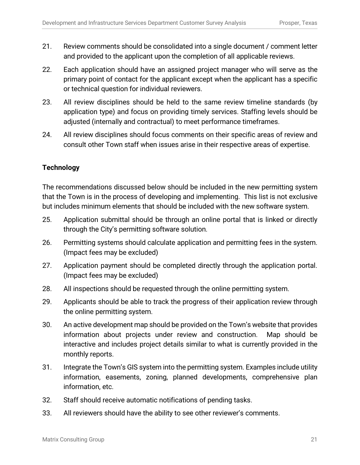- 21. Review comments should be consolidated into a single document / comment letter and provided to the applicant upon the completion of all applicable reviews.
- 22. Each application should have an assigned project manager who will serve as the primary point of contact for the applicant except when the applicant has a specific or technical question for individual reviewers.
- 23. All review disciplines should be held to the same review timeline standards (by application type) and focus on providing timely services. Staffing levels should be adjusted (internally and contractual) to meet performance timeframes.
- 24. All review disciplines should focus comments on their specific areas of review and consult other Town staff when issues arise in their respective areas of expertise.

### **Technology**

The recommendations discussed below should be included in the new permitting system that the Town is in the process of developing and implementing. This list is not exclusive but includes minimum elements that should be included with the new software system.

- 25. Application submittal should be through an online portal that is linked or directly through the City's permitting software solution.
- 26. Permitting systems should calculate application and permitting fees in the system. (Impact fees may be excluded)
- 27. Application payment should be completed directly through the application portal. (Impact fees may be excluded)
- 28. All inspections should be requested through the online permitting system.
- 29. Applicants should be able to track the progress of their application review through the online permitting system.
- 30. An active development map should be provided on the Town's website that provides information about projects under review and construction. Map should be interactive and includes project details similar to what is currently provided in the monthly reports.
- 31. Integrate the Town's GIS system into the permitting system. Examples include utility information, easements, zoning, planned developments, comprehensive plan information, etc.
- 32. Staff should receive automatic notifications of pending tasks.
- 33. All reviewers should have the ability to see other reviewer's comments.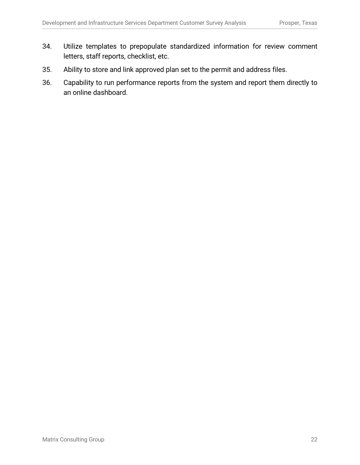- 34. Utilize templates to prepopulate standardized information for review comment letters, staff reports, checklist, etc.
- 35. Ability to store and link approved plan set to the permit and address files.
- 36. Capability to run performance reports from the system and report them directly to an online dashboard.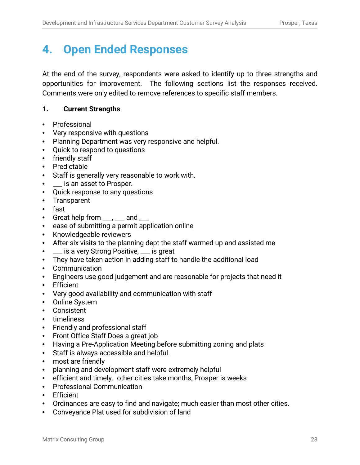# **4. Open Ended Responses**

At the end of the survey, respondents were asked to identify up to three strengths and opportunities for improvement. The following sections list the responses received. Comments were only edited to remove references to specific staff members.

### **1. Current Strengths**

- Professional
- Very responsive with questions
- Planning Department was very responsive and helpful.
- Quick to respond to questions
- friendly staff
- Predictable
- Staff is generally very reasonable to work with.
- **19. Let** is an asset to Prosper.
- Quick response to any questions
- Transparent
- fast
- Great help from \_\_\_, \_\_\_ and \_\_\_
- ease of submitting a permit application online
- Knowledgeable reviewers
- After six visits to the planning dept the staff warmed up and assisted me
- **1. Let is a very Strong Positive, Let is great**
- They have taken action in adding staff to handle the additional load
- Communication
- Engineers use good judgement and are reasonable for projects that need it
- Efficient
- Very good availability and communication with staff
- Online System
- Consistent
- timeliness
- Friendly and professional staff
- Front Office Staff Does a great job
- Having a Pre-Application Meeting before submitting zoning and plats
- Staff is always accessible and helpful.
- most are friendly
- planning and development staff were extremely helpful
- efficient and timely. other cities take months, Prosper is weeks
- Professional Communication
- Efficient
- Ordinances are easy to find and navigate; much easier than most other cities.
- Conveyance Plat used for subdivision of land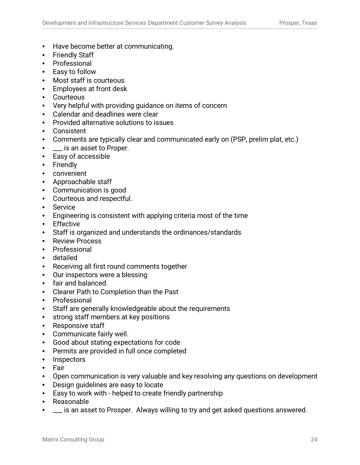- Have become better at communicating.
- Friendly Staff
- Professional
- Easy to follow
- Most staff is courteous
- Employees at front desk
- Courteous
- Very helpful with providing guidance on items of concern
- Calendar and deadlines were clear
- Provided alternative solutions to issues
- **Consistent**
- Comments are typically clear and communicated early on (PSP, prelim plat, etc.)
- \_\_\_ is an asset to Proper.
- Easy of accessible
- Friendly
- convenient
- Approachable staff
- Communication is good
- Courteous and respectful.
- Service
- Engineering is consistent with applying criteria most of the time
- Effective
- Staff is organized and understands the ordinances/standards
- **Review Process**
- Professional
- detailed
- Receiving all first round comments together
- Our inspectors were a blessing
- fair and balanced.
- Clearer Path to Completion than the Past
- Professional
- Staff are generally knowledgeable about the requirements
- strong staff members at key positions
- Responsive staff
- Communicate fairly well.
- Good about stating expectations for code
- Permits are provided in full once completed
- Inspectors
- Fair
- Open communication is very valuable and key resolving any questions on development
- Design guidelines are easy to locate
- Easy to work with helped to create friendly partnership
- Reasonable
- $\equiv$  is an asset to Prosper. Always willing to try and get asked questions answered.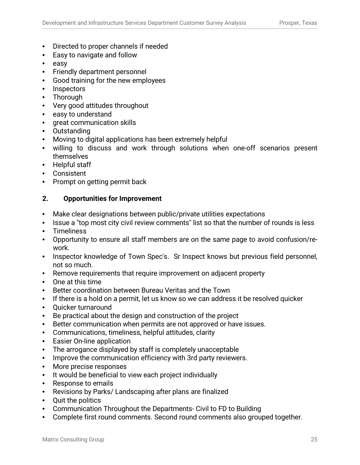- Directed to proper channels if needed
- Easy to navigate and follow
- easy
- Friendly department personnel
- Good training for the new employees
- Inspectors
- Thorough
- Very good attitudes throughout
- easy to understand
- great communication skills
- Outstanding
- Moving to digital applications has been extremely helpful
- willing to discuss and work through solutions when one-off scenarios present themselves
- Helpful staff
- Consistent
- Prompt on getting permit back

#### **2. Opportunities for Improvement**

- Make clear designations between public/private utilities expectations
- Issue a "top most city civil review comments" list so that the number of rounds is less
- **Timeliness**
- Opportunity to ensure all staff members are on the same page to avoid confusion/rework.
- Inspector knowledge of Town Spec's. Sr Inspect knows but previous field personnel, not so much.
- Remove requirements that require improvement on adjacent property
- One at this time
- Better coordination between Bureau Veritas and the Town
- If there is a hold on a permit, let us know so we can address it be resolved quicker
- Quicker turnaround
- Be practical about the design and construction of the project
- Better communication when permits are not approved or have issues.
- Communications, timeliness, helpful attitudes, clarity
- Easier On-line application
- The arrogance displayed by staff is completely unacceptable
- Improve the communication efficiency with 3rd party reviewers.
- More precise responses
- It would be beneficial to view each project individually
- Response to emails
- Revisions by Parks/ Landscaping after plans are finalized
- Quit the politics
- Communication Throughout the Departments- Civil to FD to Building
- Complete first round comments. Second round comments also grouped together.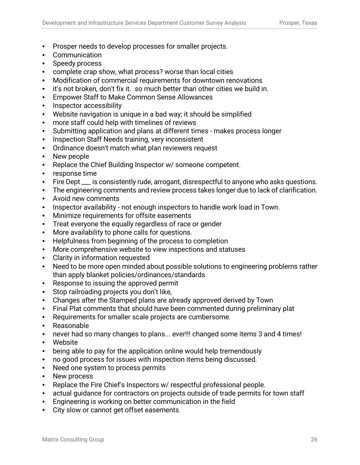- Prosper needs to develop processes for smaller projects.
- **Communication**
- Speedy process
- complete crap show, what process? worse than local cities
- Modification of commercial requirements for downtown renovations
- it's not broken, don't fix it. so much better than other cities we build in.
- Empower Staff to Make Common Sense Allowances
- Inspector accessibility
- Website navigation is unique in a bad way; it should be simplified
- more staff could help with timelines of reviews
- Submitting application and plans at different times makes process longer
- Inspection Staff Needs training, very inconsistent
- Ordinance doesn't match what plan reviewers request
- New people
- Replace the Chief Building Inspector w/ someone competent.
- response time
- Fire Dept  $\equiv$  is consistently rude, arrogant, disrespectful to anyone who asks questions.
- The engineering comments and review process takes longer due to lack of clarification.
- Avoid new comments
- Inspector availability not enough inspectors to handle work load in Town.
- Minimize requirements for offsite easements
- Treat everyone the equally regardless of race or gender
- More availability to phone calls for questions.
- Helpfulness from beginning of the process to completion
- More comprehensive website to view inspections and statuses
- Clarity in information requested
- Need to be more open minded about possible solutions to engineering problems rather than apply blanket policies/ordinances/standards
- Response to issuing the approved permit
- Stop railroading projects you don't like,
- Changes after the Stamped plans are already approved derived by Town
- Final Plat comments that should have been commented during preliminary plat
- Requirements for smaller scale projects are cumbersome.
- Reasonable
- never had so many changes to plans... ever!!! changed some items 3 and 4 times!
- Website
- being able to pay for the application online would help tremendously
- no good process for issues with inspection items being discussed.
- Need one system to process permits
- New process
- Replace the Fire Chief's Inspectors w/ respectful professional people.
- actual guidance for contractors on projects outside of trade permits for town staff
- Engineering is working on better communication in the field
- City slow or cannot get offset easements.